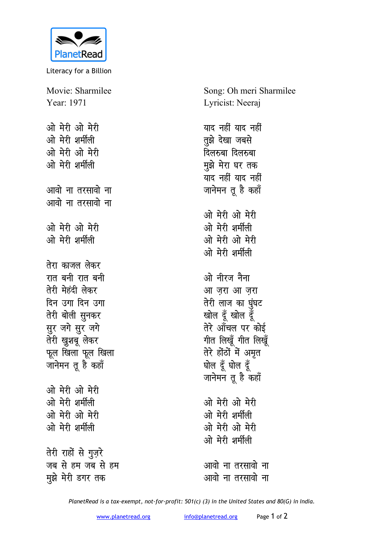

Literacy for a Billion

Movie: Sharmilee Year: 1971 ओ मेरी ओ मेरी ओ मेरी शर्मीली ओ मेरी ओ मेरी ओ मेरी शर्मीली आवो ना तरसावो ना आवो ना तरसावो ना ओ मेरी ओ मेरी ओ मेरी शर्मीली तेरा काजल लेकर रात बनी रात बनी तेरी मेहंदी लेकर दिन उगा दिन उगा तेरी बोली सुनकर सुर जगे सुर जगे तेरी खुशबू लेकर फूल खिला फूल खिला जानेमन तू है कहाँ ओ मेरी ओ मेरी ओ मेरी शर्मीली ओ मेरी ओ मेरी ओ मेरी शर्मीली तेरी राहों से गुज़रे जब से हम जब से हम मुझे मेरी डगर तक

Song: Oh meri Sharmilee Lyricist: Neeraj याद नहीं याद नहीं तूझे देखा जबसे दिलरुबा दिलरुबा मुझे मेरा घर तक याद नहीं याद नहीं जानेमन तू है कहाँ ओ मेरी ओ मेरी ओ मेरी शर्मीली ओ मेरी ओ मेरी ओ मेरी शर्मीली ओ नीरज नैना आ जरा आ जरा तेरी लाज का घुंघट खोल दूँ खोल दूँ तेरे आँचल पर कोई गीत लिखूँ गीत लिखूँ तेरे होंठों में अमृत घोल दूँ घोल दूँ जानेमन तू है कहाँ ओ मेरी ओ मेरी ओ मेरी शर्मीली ओ मेरी ओ मेरी ओ मेरी शर्मीली आवो ना तरसावो ना

PlanetRead is a tax-exempt, not-for-profit: 501(c) (3) in the United States and 80(G) in India.

आवो ना तरसावो ना